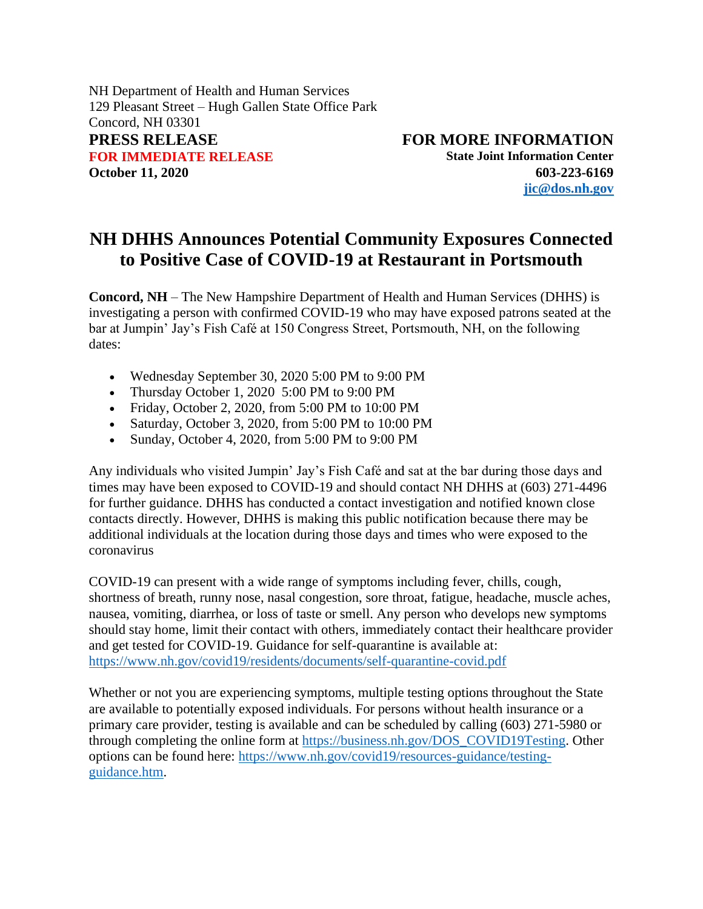NH Department of Health and Human Services 129 Pleasant Street – Hugh Gallen State Office Park Concord, NH 03301 **PRESS RELEASE FOR MORE INFORMATION FOR IMMEDIATE RELEASE State Joint Information Center October 11, 2020 603-223-6169**

**[jic@dos.nh.gov](mailto:jic@dos.nh.gov)**

## **NH DHHS Announces Potential Community Exposures Connected to Positive Case of COVID-19 at Restaurant in Portsmouth**

**Concord, NH** – The New Hampshire Department of Health and Human Services (DHHS) is investigating a person with confirmed COVID-19 who may have exposed patrons seated at the bar at Jumpin' Jay's Fish Café at 150 Congress Street, Portsmouth, NH, on the following dates:

- Wednesday September 30, 2020 5:00 PM to 9:00 PM
- Thursday October 1, 2020 5:00 PM to 9:00 PM
- Friday, October 2, 2020, from 5:00 PM to 10:00 PM
- Saturday, October 3, 2020, from 5:00 PM to 10:00 PM
- Sunday, October 4, 2020, from 5:00 PM to 9:00 PM

Any individuals who visited Jumpin' Jay's Fish Café and sat at the bar during those days and times may have been exposed to COVID-19 and should contact NH DHHS at (603) 271-4496 for further guidance. DHHS has conducted a contact investigation and notified known close contacts directly. However, DHHS is making this public notification because there may be additional individuals at the location during those days and times who were exposed to the coronavirus

COVID-19 can present with a wide range of symptoms including fever, chills, cough, shortness of breath, runny nose, nasal congestion, sore throat, fatigue, headache, muscle aches, nausea, vomiting, diarrhea, or loss of taste or smell. Any person who develops new symptoms should stay home, limit their contact with others, immediately contact their healthcare provider and get tested for COVID-19. Guidance for self-quarantine is available at: [https://www.nh.gov/covid19/residents/documents/self-quarantine-covid.pdf](https://nam11.safelinks.protection.outlook.com/?url=https%3A%2F%2Fwww.nh.gov%2Fcovid19%2Fresidents%2Fdocuments%2Fself-quarantine-covid.pdf&data=02%7C01%7Cashum%40NCHCNH.org%7Ccfba704dad9b4a1de0c008d86ddeb091%7Cdd987f63d3164cc39fb3cf9f579a041d%7C0%7C1%7C637380150506622285&sdata=tZpgVW4oA4Et%2BGSoMKX7L7%2FIzSCdU6VF6pC7dBMpLw8%3D&reserved=0)

Whether or not you are experiencing symptoms, multiple testing options throughout the State are available to potentially exposed individuals. For persons without health insurance or a primary care provider, testing is available and can be scheduled by calling (603) 271-5980 or through completing the online form at [https://business.nh.gov/DOS\\_COVID19Testing.](https://nam11.safelinks.protection.outlook.com/?url=https%3A%2F%2Fbusiness.nh.gov%2FDOS_COVID19Testing&data=02%7C01%7Cashum%40NCHCNH.org%7Ccfba704dad9b4a1de0c008d86ddeb091%7Cdd987f63d3164cc39fb3cf9f579a041d%7C0%7C1%7C637380150506622285&sdata=r67vY2Wy%2FB1veYNcIhxq7jwnX1a9EBq%2FZqvRVOI5MF0%3D&reserved=0) Other options can be found here: [https://www.nh.gov/covid19/resources-guidance/testing](https://nam11.safelinks.protection.outlook.com/?url=https%3A%2F%2Fwww.nh.gov%2Fcovid19%2Fresources-guidance%2Ftesting-guidance.htm&data=02%7C01%7Cashum%40NCHCNH.org%7Ccfba704dad9b4a1de0c008d86ddeb091%7Cdd987f63d3164cc39fb3cf9f579a041d%7C0%7C1%7C637380150506632240&sdata=63LnsBuLzabYl0nFkRC%2FnENbFOzvohojaTEonvExEYk%3D&reserved=0)[guidance.htm.](https://nam11.safelinks.protection.outlook.com/?url=https%3A%2F%2Fwww.nh.gov%2Fcovid19%2Fresources-guidance%2Ftesting-guidance.htm&data=02%7C01%7Cashum%40NCHCNH.org%7Ccfba704dad9b4a1de0c008d86ddeb091%7Cdd987f63d3164cc39fb3cf9f579a041d%7C0%7C1%7C637380150506632240&sdata=63LnsBuLzabYl0nFkRC%2FnENbFOzvohojaTEonvExEYk%3D&reserved=0)